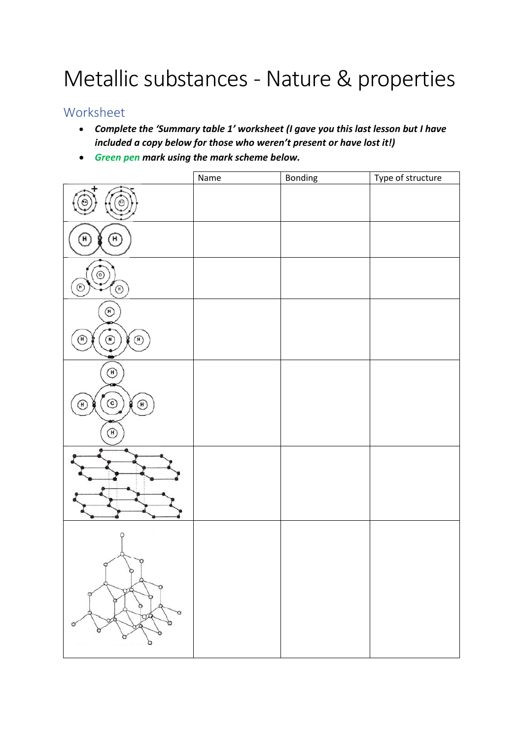# Metallic substances - Nature & properties

## Worksheet

- *Complete the 'Summary table 1' worksheet (I gave you this last lesson but I have included a copy below for those who weren't present or have lost it!)*
- *Green pen mark using the mark scheme below.*

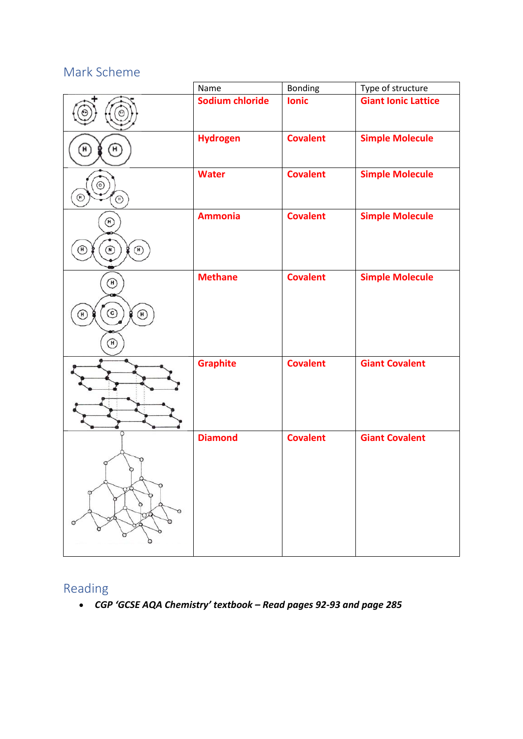## Mark Scheme



## Reading

• *CGP 'GCSE AQA Chemistry' textbook – Read pages 92-93 and page 285*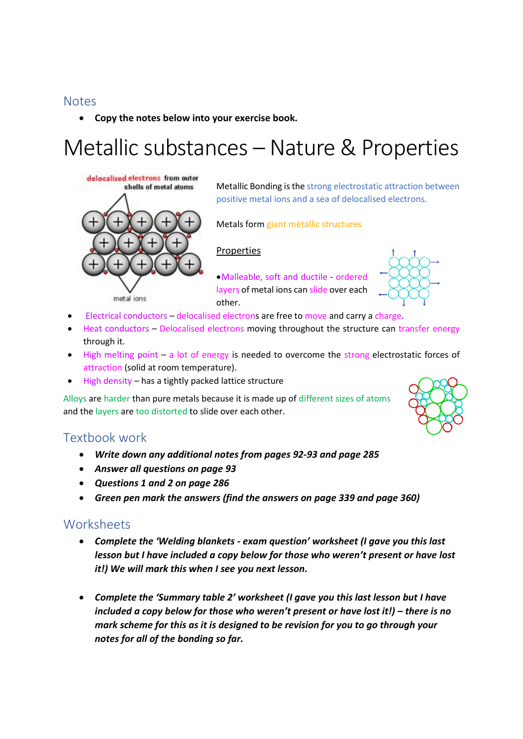### **Notes**

• **Copy the notes below into your exercise book.**

# Metallic substances – Nature & Properties



Metallic Bonding is the strong electrostatic attraction between positive metal ions and a sea of delocalised electrons.

Metals form giant metallic structures

#### Properties

•Malleable, soft and ductile - ordered layers of metal ions can slide over each other.



- Electrical conductors delocalised electrons are free to move and carry a charge.
- Heat conductors Delocalised electrons moving throughout the structure can transfer energy through it.
- High melting point a lot of energy is needed to overcome the strong electrostatic forces of attraction (solid at room temperature).
- High density has a tightly packed lattice structure

Alloys are harder than pure metals because it is made up of different sizes of atoms and the layers are too distorted to slide over each other.

## Textbook work

- *Write down any additional notes from pages 92-93 and page 285*
- *Answer all questions on page 93*
- *Questions 1 and 2 on page 286*
- *Green pen mark the answers (find the answers on page 339 and page 360)*

#### **Worksheets**

- *Complete the 'Welding blankets - exam question' worksheet (I gave you this last lesson but I have included a copy below for those who weren't present or have lost it!) We will mark this when I see you next lesson.*
- *Complete the 'Summary table 2' worksheet (I gave you this last lesson but I have included a copy below for those who weren't present or have lost it!) – there is no mark scheme for this as it is designed to be revision for you to go through your notes for all of the bonding so far.*

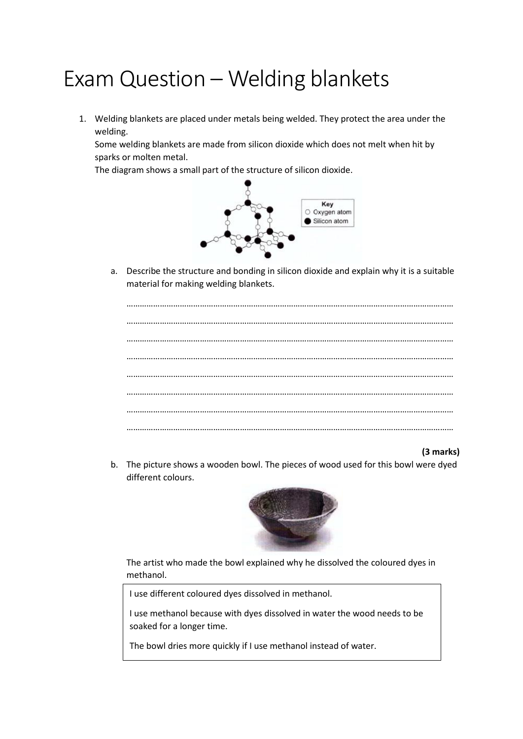## Exam Question – Welding blankets

1. Welding blankets are placed under metals being welded. They protect the area under the welding.

Some welding blankets are made from silicon dioxide which does not melt when hit by sparks or molten metal.

The diagram shows a small part of the structure of silicon dioxide.



a. Describe the structure and bonding in silicon dioxide and explain why it is a suitable material for making welding blankets.

#### **(3 marks)**

b. The picture shows a wooden bowl. The pieces of wood used for this bowl were dyed different colours.



The artist who made the bowl explained why he dissolved the coloured dyes in methanol.

I use different coloured dyes dissolved in methanol.

I use methanol because with dyes dissolved in water the wood needs to be soaked for a longer time.

The bowl dries more quickly if I use methanol instead of water.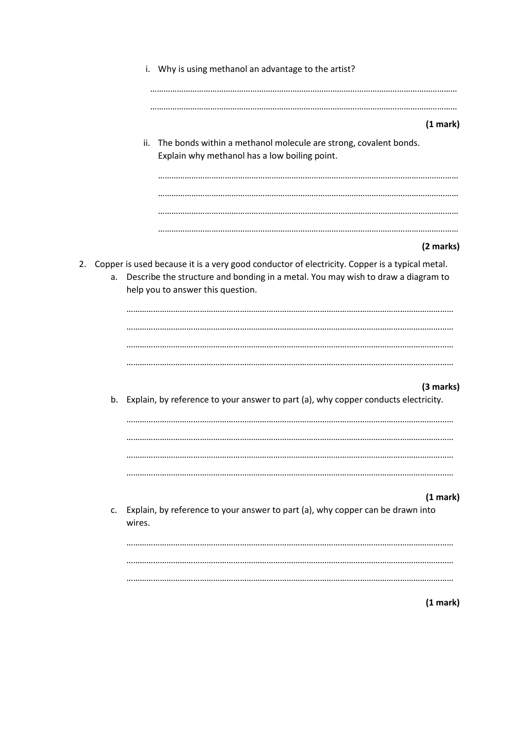| i. Why is using methanol an advantage to the artist?                                                                                                                                                                               |
|------------------------------------------------------------------------------------------------------------------------------------------------------------------------------------------------------------------------------------|
| (1 mark)                                                                                                                                                                                                                           |
| The bonds within a methanol molecule are strong, covalent bonds.<br>ii.<br>Explain why methanol has a low boiling point.                                                                                                           |
|                                                                                                                                                                                                                                    |
| (2 marks)                                                                                                                                                                                                                          |
| Copper is used because it is a very good conductor of electricity. Copper is a typical metal.<br>2.<br>Describe the structure and bonding in a metal. You may wish to draw a diagram to<br>a.<br>help you to answer this question. |
|                                                                                                                                                                                                                                    |
| (3 marks)<br>b. Explain, by reference to your answer to part (a), why copper conducts electricity.                                                                                                                                 |
| (1 mark)                                                                                                                                                                                                                           |
| Explain, by reference to your answer to part (a), why copper can be drawn into<br>c.<br>wires.                                                                                                                                     |
|                                                                                                                                                                                                                                    |
| (1 mark)                                                                                                                                                                                                                           |